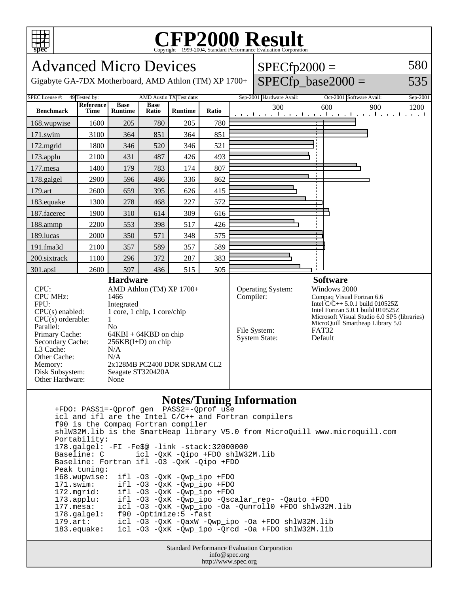

## **CFP2000 Result** Copyright 1999-2004, Standard Performance Evaluation Corporation



Standard Performance Evaluation Corporation info@spec.org http://www.spec.org